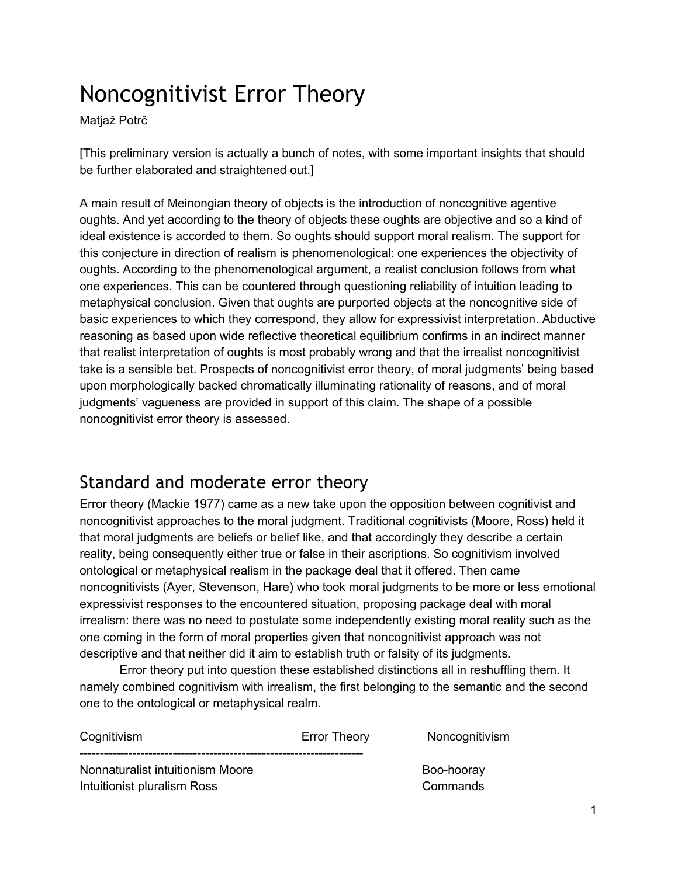# Noncognitivist Error Theory

Matjaž Potrč

[This preliminary version is actually a bunch of notes, with some important insights that should be further elaborated and straightened out.]

A main result of Meinongian theory of objects is the introduction of noncognitive agentive oughts. And yet according to the theory of objects these oughts are objective and so a kind of ideal existence is accorded to them. So oughts should support moral realism. The support for this conjecture in direction of realism is phenomenological: one experiences the objectivity of oughts. According to the phenomenological argument, a realist conclusion follows from what one experiences. This can be countered through questioning reliability of intuition leading to metaphysical conclusion. Given that oughts are purported objects at the noncognitive side of basic experiences to which they correspond, they allow for expressivist interpretation. Abductive reasoning as based upon wide reflective theoretical equilibrium confirms in an indirect manner that realist interpretation of oughts is most probably wrong and that the irrealist noncognitivist take is a sensible bet. Prospects of noncognitivist error theory, of moral judgments' being based upon morphologically backed chromatically illuminating rationality of reasons, and of moral judgments' vagueness are provided in support of this claim. The shape of a possible noncognitivist error theory is assessed.

# Standard and moderate error theory

Error theory (Mackie 1977) came as a new take upon the opposition between cognitivist and noncognitivist approaches to the moral judgment. Traditional cognitivists (Moore, Ross) held it that moral judgments are beliefs or belief like, and that accordingly they describe a certain reality, being consequently either true or false in their ascriptions. So cognitivism involved ontological or metaphysical realism in the package deal that it offered. Then came noncognitivists (Ayer, Stevenson, Hare) who took moral judgments to be more or less emotional expressivist responses to the encountered situation, proposing package deal with moral irrealism: there was no need to postulate some independently existing moral reality such as the one coming in the form of moral properties given that noncognitivist approach was not descriptive and that neither did it aim to establish truth or falsity of its judgments.

Error theory put into question these established distinctions all in reshuffling them. It namely combined cognitivism with irrealism, the first belonging to the semantic and the second one to the ontological or metaphysical realm.

| Cognitivism                      | <b>Error Theory</b> | Noncognitivism |
|----------------------------------|---------------------|----------------|
| Nonnaturalist intuitionism Moore |                     | Boo-hooray     |
| Intuitionist pluralism Ross      |                     | Commands       |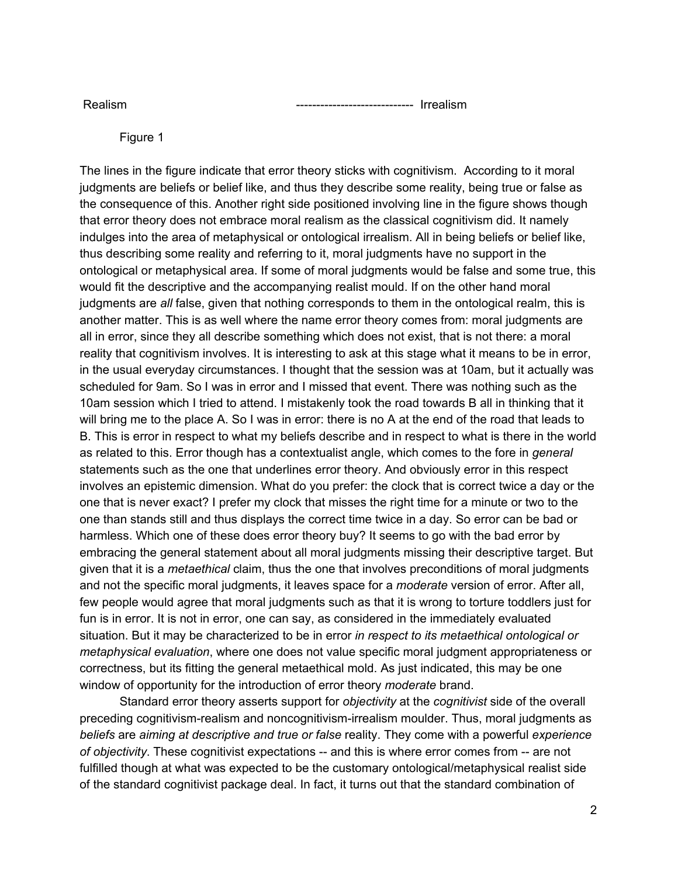Realism Irrealism

Figure 1

The lines in the figure indicate that error theory sticks with cognitivism. According to it moral judgments are beliefs or belief like, and thus they describe some reality, being true or false as the consequence of this. Another right side positioned involving line in the figure shows though that error theory does not embrace moral realism as the classical cognitivism did. It namely indulges into the area of metaphysical or ontological irrealism. All in being beliefs or belief like, thus describing some reality and referring to it, moral judgments have no support in the ontological or metaphysical area. If some of moral judgments would be false and some true, this would fit the descriptive and the accompanying realist mould. If on the other hand moral judgments are *all* false, given that nothing corresponds to them in the ontological realm, this is another matter. This is as well where the name error theory comes from: moral judgments are all in error, since they all describe something which does not exist, that is not there: a moral reality that cognitivism involves. It is interesting to ask at this stage what it means to be in error, in the usual everyday circumstances. I thought that the session was at 10am, but it actually was scheduled for 9am. So I was in error and I missed that event. There was nothing such as the 10am session which I tried to attend. I mistakenly took the road towards B all in thinking that it will bring me to the place A. So I was in error: there is no A at the end of the road that leads to B. This is error in respect to what my beliefs describe and in respect to what is there in the world as related to this. Error though has a contextualist angle, which comes to the fore in *general* statements such as the one that underlines error theory. And obviously error in this respect involves an epistemic dimension. What do you prefer: the clock that is correct twice a day or the one that is never exact? I prefer my clock that misses the right time for a minute or two to the one than stands still and thus displays the correct time twice in a day. So error can be bad or harmless. Which one of these does error theory buy? It seems to go with the bad error by embracing the general statement about all moral judgments missing their descriptive target. But given that it is a *metaethical* claim, thus the one that involves preconditions of moral judgments and not the specific moral judgments, it leaves space for a *moderate* version of error. After all, few people would agree that moral judgments such as that it is wrong to torture toddlers just for fun is in error. It is not in error, one can say, as considered in the immediately evaluated situation. But it may be characterized to be in error *in respect to its metaethical ontological or metaphysical evaluation*, where one does not value specific moral judgment appropriateness or correctness, but its fitting the general metaethical mold. As just indicated, this may be one window of opportunity for the introduction of error theory *moderate* brand.

Standard error theory asserts support for *objectivity* at the *cognitivist* side of the overall preceding cognitivism-realism and noncognitivism-irrealism moulder. Thus, moral judgments as *beliefs* are *aiming at descriptive and true or false* reality. They come with a powerful *experience of objectivity*. These cognitivist expectations -- and this is where error comes from -- are not fulfilled though at what was expected to be the customary ontological/metaphysical realist side of the standard cognitivist package deal. In fact, it turns out that the standard combination of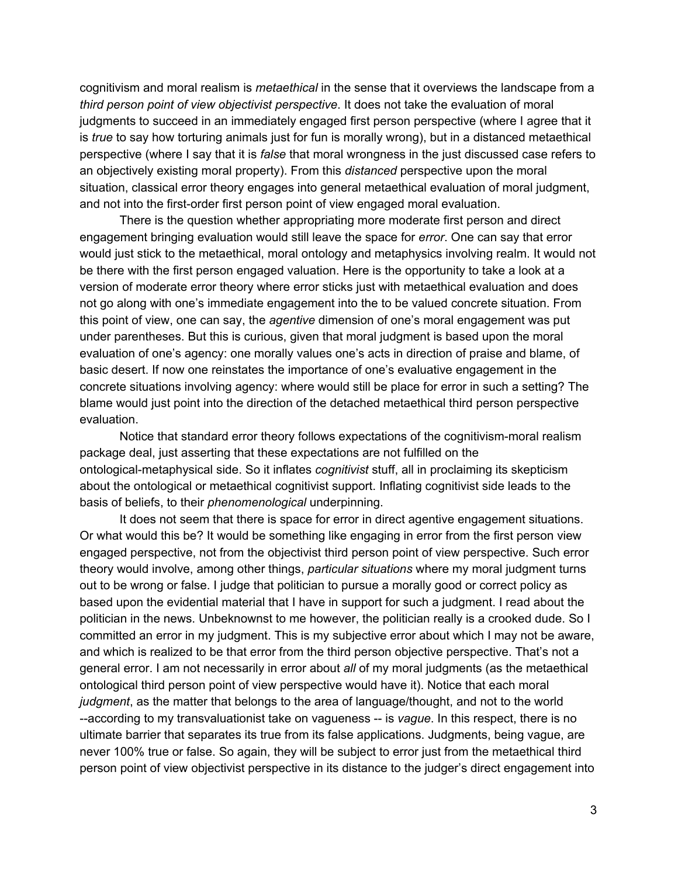cognitivism and moral realism is *metaethical* in the sense that it overviews the landscape from a *third person point of view objectivist perspective*. It does not take the evaluation of moral judgments to succeed in an immediately engaged first person perspective (where I agree that it is *true* to say how torturing animals just for fun is morally wrong), but in a distanced metaethical perspective (where I say that it is *false* that moral wrongness in the just discussed case refers to an objectively existing moral property). From this *distanced* perspective upon the moral situation, classical error theory engages into general metaethical evaluation of moral judgment, and not into the first-order first person point of view engaged moral evaluation.

There is the question whether appropriating more moderate first person and direct engagement bringing evaluation would still leave the space for *error*. One can say that error would just stick to the metaethical, moral ontology and metaphysics involving realm. It would not be there with the first person engaged valuation. Here is the opportunity to take a look at a version of moderate error theory where error sticks just with metaethical evaluation and does not go along with one's immediate engagement into the to be valued concrete situation. From this point of view, one can say, the *agentive* dimension of one's moral engagement was put under parentheses. But this is curious, given that moral judgment is based upon the moral evaluation of one's agency: one morally values one's acts in direction of praise and blame, of basic desert. If now one reinstates the importance of one's evaluative engagement in the concrete situations involving agency: where would still be place for error in such a setting? The blame would just point into the direction of the detached metaethical third person perspective evaluation.

Notice that standard error theory follows expectations of the cognitivism-moral realism package deal, just asserting that these expectations are not fulfilled on the ontological-metaphysical side. So it inflates *cognitivist* stuff, all in proclaiming its skepticism about the ontological or metaethical cognitivist support. Inflating cognitivist side leads to the basis of beliefs, to their *phenomenological* underpinning.

It does not seem that there is space for error in direct agentive engagement situations. Or what would this be? It would be something like engaging in error from the first person view engaged perspective, not from the objectivist third person point of view perspective. Such error theory would involve, among other things, *particular situations* where my moral judgment turns out to be wrong or false. I judge that politician to pursue a morally good or correct policy as based upon the evidential material that I have in support for such a judgment. I read about the politician in the news. Unbeknownst to me however, the politician really is a crooked dude. So I committed an error in my judgment. This is my subjective error about which I may not be aware, and which is realized to be that error from the third person objective perspective. That's not a general error. I am not necessarily in error about *all* of my moral judgments (as the metaethical ontological third person point of view perspective would have it). Notice that each moral *judgment*, as the matter that belongs to the area of language/thought, and not to the world -according to my transvaluationist take on vagueness -- is *vague*. In this respect, there is no ultimate barrier that separates its true from its false applications. Judgments, being vague, are never 100% true or false. So again, they will be subject to error just from the metaethical third person point of view objectivist perspective in its distance to the judger's direct engagement into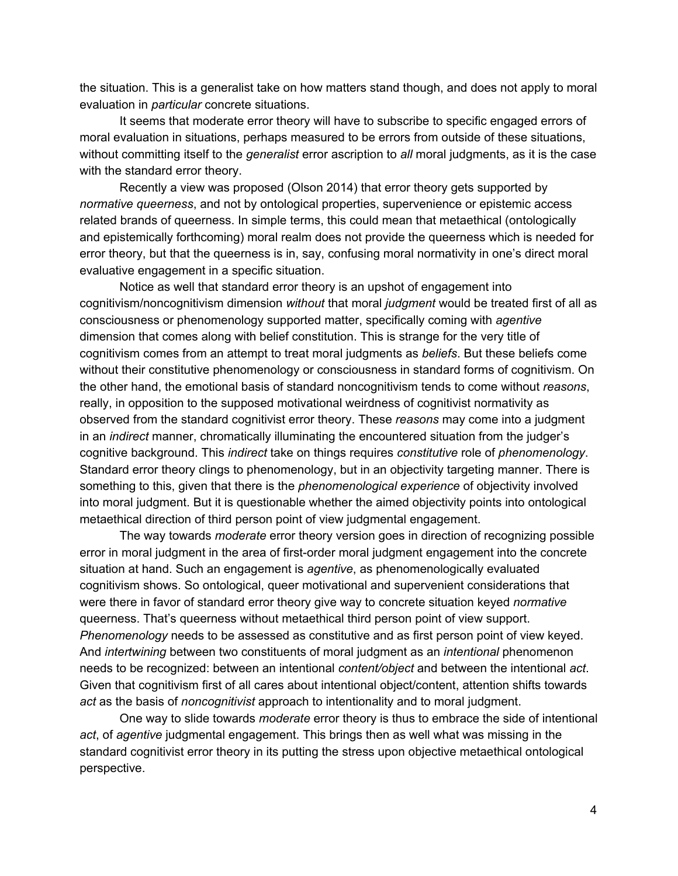the situation. This is a generalist take on how matters stand though, and does not apply to moral evaluation in *particular* concrete situations.

It seems that moderate error theory will have to subscribe to specific engaged errors of moral evaluation in situations, perhaps measured to be errors from outside of these situations, without committing itself to the *generalist* error ascription to *all* moral judgments, as it is the case with the standard error theory.

Recently a view was proposed (Olson 2014) that error theory gets supported by *normative queerness*, and not by ontological properties, supervenience or epistemic access related brands of queerness. In simple terms, this could mean that metaethical (ontologically and epistemically forthcoming) moral realm does not provide the queerness which is needed for error theory, but that the queerness is in, say, confusing moral normativity in one's direct moral evaluative engagement in a specific situation.

Notice as well that standard error theory is an upshot of engagement into cognitivism/noncognitivism dimension *without* that moral *judgment* would be treated first of all as consciousness or phenomenology supported matter, specifically coming with *agentive* dimension that comes along with belief constitution. This is strange for the very title of cognitivism comes from an attempt to treat moral judgments as *beliefs*. But these beliefs come without their constitutive phenomenology or consciousness in standard forms of cognitivism. On the other hand, the emotional basis of standard noncognitivism tends to come without *reasons*, really, in opposition to the supposed motivational weirdness of cognitivist normativity as observed from the standard cognitivist error theory. These *reasons* may come into a judgment in an *indirect* manner, chromatically illuminating the encountered situation from the judger's cognitive background. This *indirect* take on things requires *constitutive* role of *phenomenology*. Standard error theory clings to phenomenology, but in an objectivity targeting manner. There is something to this, given that there is the *phenomenological experience* of objectivity involved into moral judgment. But it is questionable whether the aimed objectivity points into ontological metaethical direction of third person point of view judgmental engagement.

The way towards *moderate* error theory version goes in direction of recognizing possible error in moral judgment in the area of first-order moral judgment engagement into the concrete situation at hand. Such an engagement is *agentive*, as phenomenologically evaluated cognitivism shows. So ontological, queer motivational and supervenient considerations that were there in favor of standard error theory give way to concrete situation keyed *normative* queerness. That's queerness without metaethical third person point of view support. *Phenomenology* needs to be assessed as constitutive and as first person point of view keyed. And *intertwining* between two constituents of moral judgment as an *intentional* phenomenon needs to be recognized: between an intentional *content/object* and between the intentional *act*. Given that cognitivism first of all cares about intentional object/content, attention shifts towards *act* as the basis of *noncognitivist* approach to intentionality and to moral judgment.

One way to slide towards *moderate* error theory is thus to embrace the side of intentional *act*, of *agentive* judgmental engagement. This brings then as well what was missing in the standard cognitivist error theory in its putting the stress upon objective metaethical ontological perspective.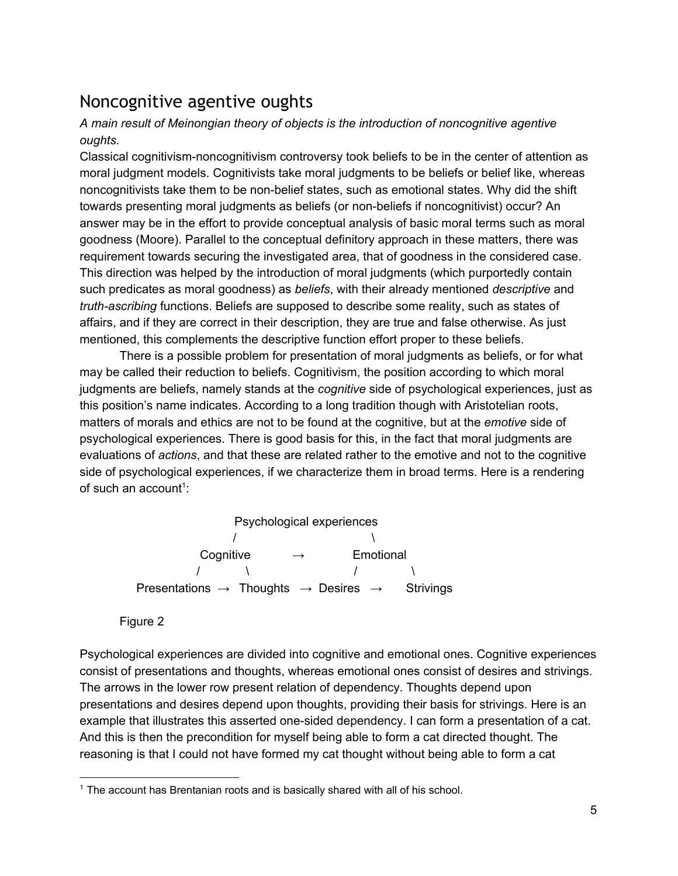## Noncognitive agentive oughts

#### *A main result of Meinongian theory of objects is the introduction of noncognitive agentive oughts.*

Classical cognitivism-noncognitivism controversy took beliefs to be in the center of attention as moral judgment models. Cognitivists take moral judgments to be beliefs or belief like, whereas noncognitivists take them to be non-belief states, such as emotional states. Why did the shift towards presenting moral judgments as beliefs (or non-beliefs if noncognitivist) occur? An answer may be in the effort to provide conceptual analysis of basic moral terms such as moral goodness (Moore). Parallel to the conceptual definitory approach in these matters, there was requirement towards securing the investigated area, that of goodness in the considered case. This direction was helped by the introduction of moral judgments (which purportedly contain such predicates as moral goodness) as *beliefs*, with their already mentioned *descriptive* and *truth-ascribing* functions. Beliefs are supposed to describe some reality, such as states of affairs, and if they are correct in their description, they are true and false otherwise. As just mentioned, this complements the descriptive function effort proper to these beliefs.

There is a possible problem for presentation of moral judgments as beliefs, or for what may be called their reduction to beliefs. Cognitivism, the position according to which moral judgments are beliefs, namely stands at the *cognitive* side of psychological experiences, just as this position's name indicates. According to a long tradition though with Aristotelian roots, matters of morals and ethics are not to be found at the cognitive, but at the *emotive* side of psychological experiences. There is good basis for this, in the fact that moral judgments are evaluations of *actions*, and that these are related rather to the emotive and not to the cognitive side of psychological experiences, if we characterize them in broad terms. Here is a rendering of such an account<sup>1</sup>:

> Psychological experiences  $\sqrt{ }$ Cognitive → Emotional / \ / \ Presentations → Thoughts → Desires → Strivings

#### Figure 2

Psychological experiences are divided into cognitive and emotional ones. Cognitive experiences consist of presentations and thoughts, whereas emotional ones consist of desires and strivings. The arrows in the lower row present relation of dependency. Thoughts depend upon presentations and desires depend upon thoughts, providing their basis for strivings. Here is an example that illustrates this asserted one-sided dependency. I can form a presentation of a cat. And this is then the precondition for myself being able to form a cat directed thought. The reasoning is that I could not have formed my cat thought without being able to form a cat

<sup>&</sup>lt;sup>1</sup> The account has Brentanian roots and is basically shared with all of his school.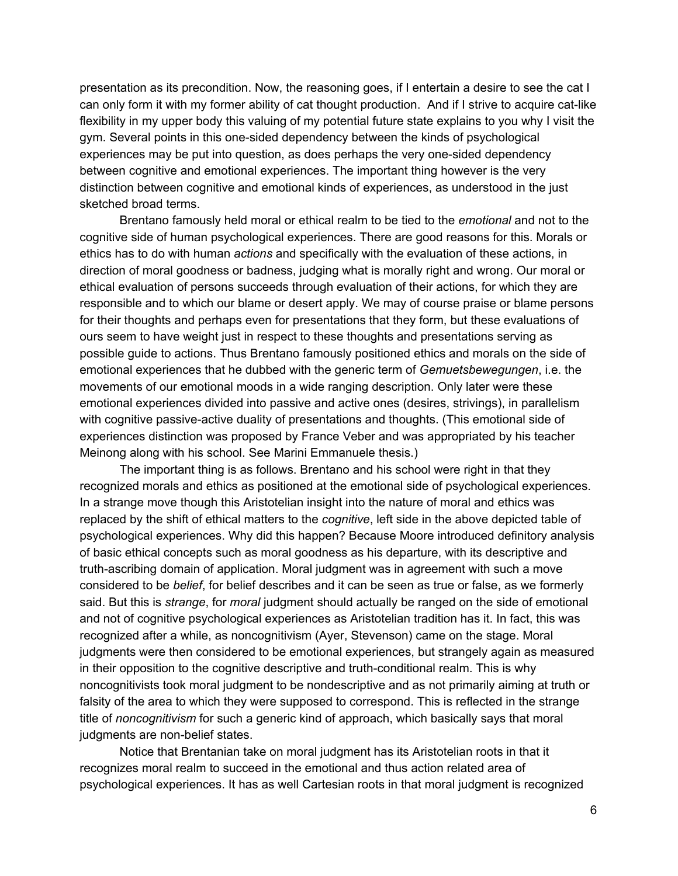presentation as its precondition. Now, the reasoning goes, if I entertain a desire to see the cat I can only form it with my former ability of cat thought production. And if I strive to acquire cat-like flexibility in my upper body this valuing of my potential future state explains to you why I visit the gym. Several points in this onesided dependency between the kinds of psychological experiences may be put into question, as does perhaps the very one-sided dependency between cognitive and emotional experiences. The important thing however is the very distinction between cognitive and emotional kinds of experiences, as understood in the just sketched broad terms.

Brentano famously held moral or ethical realm to be tied to the *emotional* and not to the cognitive side of human psychological experiences. There are good reasons for this. Morals or ethics has to do with human *actions* and specifically with the evaluation of these actions, in direction of moral goodness or badness, judging what is morally right and wrong. Our moral or ethical evaluation of persons succeeds through evaluation of their actions, for which they are responsible and to which our blame or desert apply. We may of course praise or blame persons for their thoughts and perhaps even for presentations that they form, but these evaluations of ours seem to have weight just in respect to these thoughts and presentations serving as possible guide to actions. Thus Brentano famously positioned ethics and morals on the side of emotional experiences that he dubbed with the generic term of *Gemuetsbewegungen*, i.e. the movements of our emotional moods in a wide ranging description. Only later were these emotional experiences divided into passive and active ones (desires, strivings), in parallelism with cognitive passive-active duality of presentations and thoughts. (This emotional side of experiences distinction was proposed by France Veber and was appropriated by his teacher Meinong along with his school. See Marini Emmanuele thesis.)

The important thing is as follows. Brentano and his school were right in that they recognized morals and ethics as positioned at the emotional side of psychological experiences. In a strange move though this Aristotelian insight into the nature of moral and ethics was replaced by the shift of ethical matters to the *cognitive*, left side in the above depicted table of psychological experiences. Why did this happen? Because Moore introduced definitory analysis of basic ethical concepts such as moral goodness as his departure, with its descriptive and truth-ascribing domain of application. Moral judgment was in agreement with such a move considered to be *belief*, for belief describes and it can be seen as true or false, as we formerly said. But this is *strange*, for *moral* judgment should actually be ranged on the side of emotional and not of cognitive psychological experiences as Aristotelian tradition has it. In fact, this was recognized after a while, as noncognitivism (Ayer, Stevenson) came on the stage. Moral judgments were then considered to be emotional experiences, but strangely again as measured in their opposition to the cognitive descriptive and truth-conditional realm. This is why noncognitivists took moral judgment to be nondescriptive and as not primarily aiming at truth or falsity of the area to which they were supposed to correspond. This is reflected in the strange title of *noncognitivism* for such a generic kind of approach, which basically says that moral judgments are non-belief states.

Notice that Brentanian take on moral judgment has its Aristotelian roots in that it recognizes moral realm to succeed in the emotional and thus action related area of psychological experiences. It has as well Cartesian roots in that moral judgment is recognized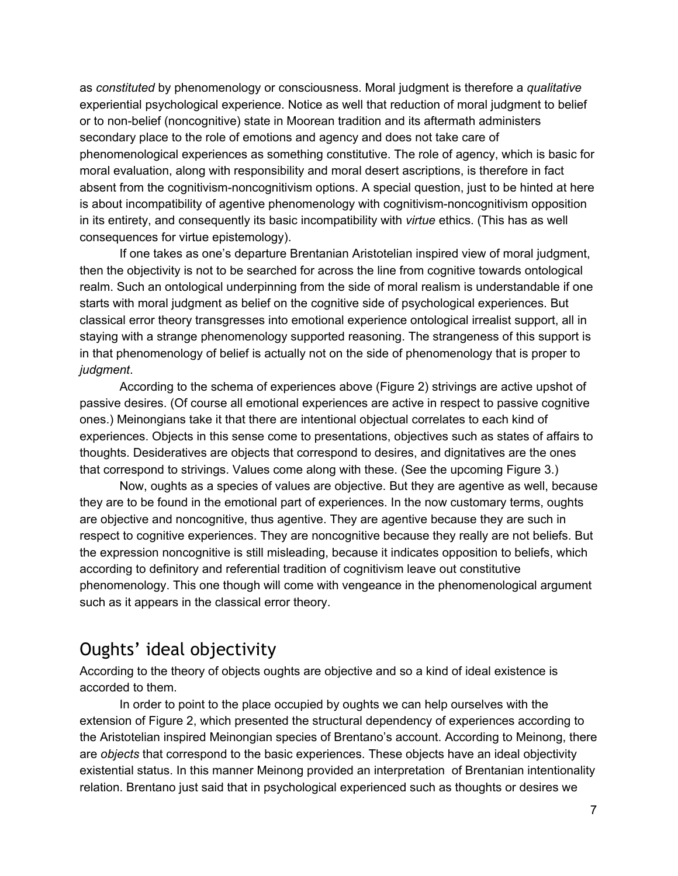as *constituted* by phenomenology or consciousness. Moral judgment is therefore a *qualitative* experiential psychological experience. Notice as well that reduction of moral judgment to belief or to non-belief (noncognitive) state in Moorean tradition and its aftermath administers secondary place to the role of emotions and agency and does not take care of phenomenological experiences as something constitutive. The role of agency, which is basic for moral evaluation, along with responsibility and moral desert ascriptions, is therefore in fact absent from the cognitivism-noncognitivism options. A special question, just to be hinted at here is about incompatibility of agentive phenomenology with cognitivism-noncognitivism opposition in its entirety, and consequently its basic incompatibility with *virtue* ethics. (This has as well consequences for virtue epistemology).

If one takes as one's departure Brentanian Aristotelian inspired view of moral judgment, then the objectivity is not to be searched for across the line from cognitive towards ontological realm. Such an ontological underpinning from the side of moral realism is understandable if one starts with moral judgment as belief on the cognitive side of psychological experiences. But classical error theory transgresses into emotional experience ontological irrealist support, all in staying with a strange phenomenology supported reasoning. The strangeness of this support is in that phenomenology of belief is actually not on the side of phenomenology that is proper to *judgment*.

According to the schema of experiences above (Figure 2) strivings are active upshot of passive desires. (Of course all emotional experiences are active in respect to passive cognitive ones.) Meinongians take it that there are intentional objectual correlates to each kind of experiences. Objects in this sense come to presentations, objectives such as states of affairs to thoughts. Desideratives are objects that correspond to desires, and dignitatives are the ones that correspond to strivings. Values come along with these. (See the upcoming Figure 3.)

Now, oughts as a species of values are objective. But they are agentive as well, because they are to be found in the emotional part of experiences. In the now customary terms, oughts are objective and noncognitive, thus agentive. They are agentive because they are such in respect to cognitive experiences. They are noncognitive because they really are not beliefs. But the expression noncognitive is still misleading, because it indicates opposition to beliefs, which according to definitory and referential tradition of cognitivism leave out constitutive phenomenology. This one though will come with vengeance in the phenomenological argument such as it appears in the classical error theory.

### Oughts' ideal objectivity

According to the theory of objects oughts are objective and so a kind of ideal existence is accorded to them.

In order to point to the place occupied by oughts we can help ourselves with the extension of Figure 2, which presented the structural dependency of experiences according to the Aristotelian inspired Meinongian species of Brentano's account. According to Meinong, there are *objects* that correspond to the basic experiences. These objects have an ideal objectivity existential status. In this manner Meinong provided an interpretation of Brentanian intentionality relation. Brentano just said that in psychological experienced such as thoughts or desires we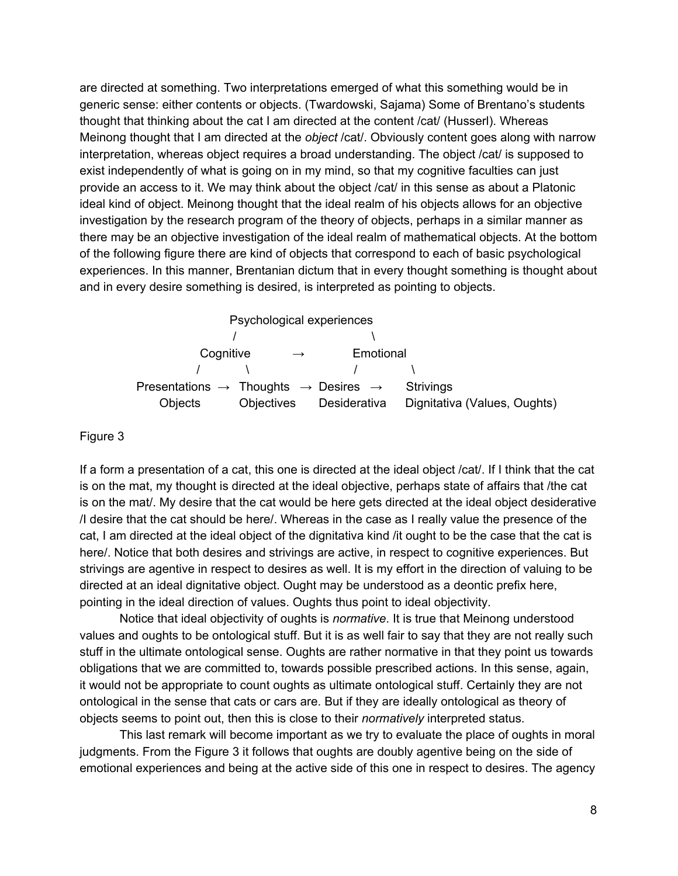are directed at something. Two interpretations emerged of what this something would be in generic sense: either contents or objects. (Twardowski, Sajama) Some of Brentano's students thought that thinking about the cat I am directed at the content /cat/ (Husserl). Whereas Meinong thought that I am directed at the *object* /cat/. Obviously content goes along with narrow interpretation, whereas object requires a broad understanding. The object /cat/ is supposed to exist independently of what is going on in my mind, so that my cognitive faculties can just provide an access to it. We may think about the object /cat/ in this sense as about a Platonic ideal kind of object. Meinong thought that the ideal realm of his objects allows for an objective investigation by the research program of the theory of objects, perhaps in a similar manner as there may be an objective investigation of the ideal realm of mathematical objects. At the bottom of the following figure there are kind of objects that correspond to each of basic psychological experiences. In this manner, Brentanian dictum that in every thought something is thought about and in every desire something is desired, is interpreted as pointing to objects.

|                                                                          | Psychological experiences |              |                              |
|--------------------------------------------------------------------------|---------------------------|--------------|------------------------------|
|                                                                          |                           |              |                              |
| Cognitive                                                                | $\rightarrow$             | Emotional    |                              |
|                                                                          |                           |              |                              |
| Presentations $\rightarrow$ Thoughts $\rightarrow$ Desires $\rightarrow$ |                           |              | Strivings                    |
| Objects                                                                  | Objectives                | Desiderativa | Dignitativa (Values, Oughts) |

#### Figure 3

If a form a presentation of a cat, this one is directed at the ideal object /cat/. If I think that the cat is on the mat, my thought is directed at the ideal objective, perhaps state of affairs that /the cat is on the mat/. My desire that the cat would be here gets directed at the ideal object desiderative /I desire that the cat should be here/. Whereas in the case as I really value the presence of the cat, I am directed at the ideal object of the dignitativa kind /it ought to be the case that the cat is here/. Notice that both desires and strivings are active, in respect to cognitive experiences. But strivings are agentive in respect to desires as well. It is my effort in the direction of valuing to be directed at an ideal dignitative object. Ought may be understood as a deontic prefix here, pointing in the ideal direction of values. Oughts thus point to ideal objectivity.

Notice that ideal objectivity of oughts is *normative*. It is true that Meinong understood values and oughts to be ontological stuff. But it is as well fair to say that they are not really such stuff in the ultimate ontological sense. Oughts are rather normative in that they point us towards obligations that we are committed to, towards possible prescribed actions. In this sense, again, it would not be appropriate to count oughts as ultimate ontological stuff. Certainly they are not ontological in the sense that cats or cars are. But if they are ideally ontological as theory of objects seems to point out, then this is close to their *normatively* interpreted status.

This last remark will become important as we try to evaluate the place of oughts in moral judgments. From the Figure 3 it follows that oughts are doubly agentive being on the side of emotional experiences and being at the active side of this one in respect to desires. The agency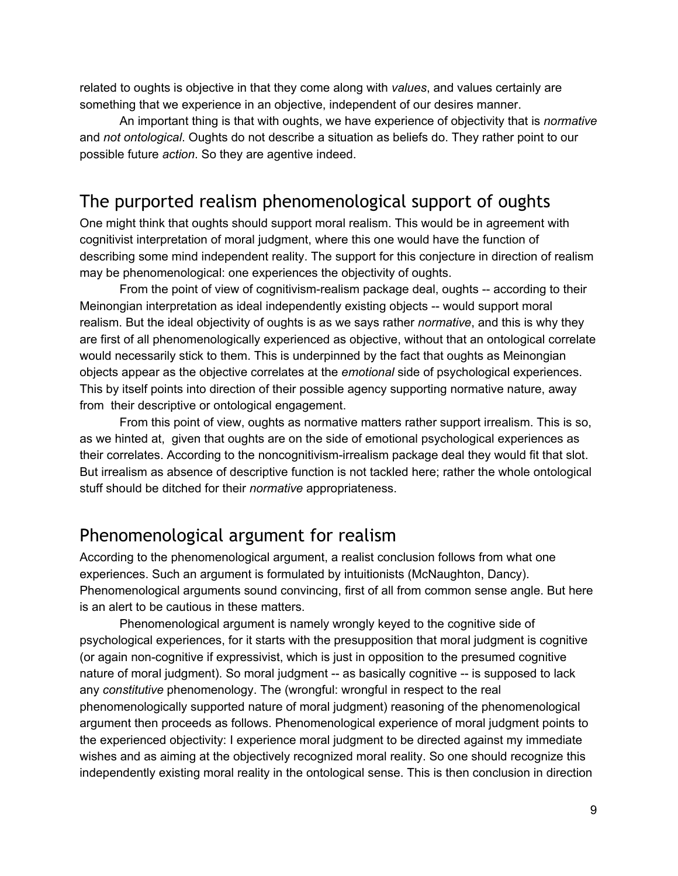related to oughts is objective in that they come along with *values*, and values certainly are something that we experience in an objective, independent of our desires manner.

An important thing is that with oughts, we have experience of objectivity that is *normative* and *not ontological*. Oughts do not describe a situation as beliefs do. They rather point to our possible future *action*. So they are agentive indeed.

### The purported realism phenomenological support of oughts

One might think that oughts should support moral realism. This would be in agreement with cognitivist interpretation of moral judgment, where this one would have the function of describing some mind independent reality. The support for this conjecture in direction of realism may be phenomenological: one experiences the objectivity of oughts.

From the point of view of cognitivism-realism package deal, oughts -- according to their Meinongian interpretation as ideal independently existing objects -- would support moral realism. But the ideal objectivity of oughts is as we says rather *normative*, and this is why they are first of all phenomenologically experienced as objective, without that an ontological correlate would necessarily stick to them. This is underpinned by the fact that oughts as Meinongian objects appear as the objective correlates at the *emotional* side of psychological experiences. This by itself points into direction of their possible agency supporting normative nature, away from their descriptive or ontological engagement.

From this point of view, oughts as normative matters rather support irrealism. This is so, as we hinted at, given that oughts are on the side of emotional psychological experiences as their correlates. According to the noncognitivism-irrealism package deal they would fit that slot. But irrealism as absence of descriptive function is not tackled here; rather the whole ontological stuff should be ditched for their *normative* appropriateness.

#### Phenomenological argument for realism

According to the phenomenological argument, a realist conclusion follows from what one experiences. Such an argument is formulated by intuitionists (McNaughton, Dancy). Phenomenological arguments sound convincing, first of all from common sense angle. But here is an alert to be cautious in these matters.

Phenomenological argument is namely wrongly keyed to the cognitive side of psychological experiences, for it starts with the presupposition that moral judgment is cognitive (or again non-cognitive if expressivist, which is just in opposition to the presumed cognitive nature of moral judgment). So moral judgment -- as basically cognitive -- is supposed to lack any *constitutive* phenomenology. The (wrongful: wrongful in respect to the real phenomenologically supported nature of moral judgment) reasoning of the phenomenological argument then proceeds as follows. Phenomenological experience of moral judgment points to the experienced objectivity: I experience moral judgment to be directed against my immediate wishes and as aiming at the objectively recognized moral reality. So one should recognize this independently existing moral reality in the ontological sense. This is then conclusion in direction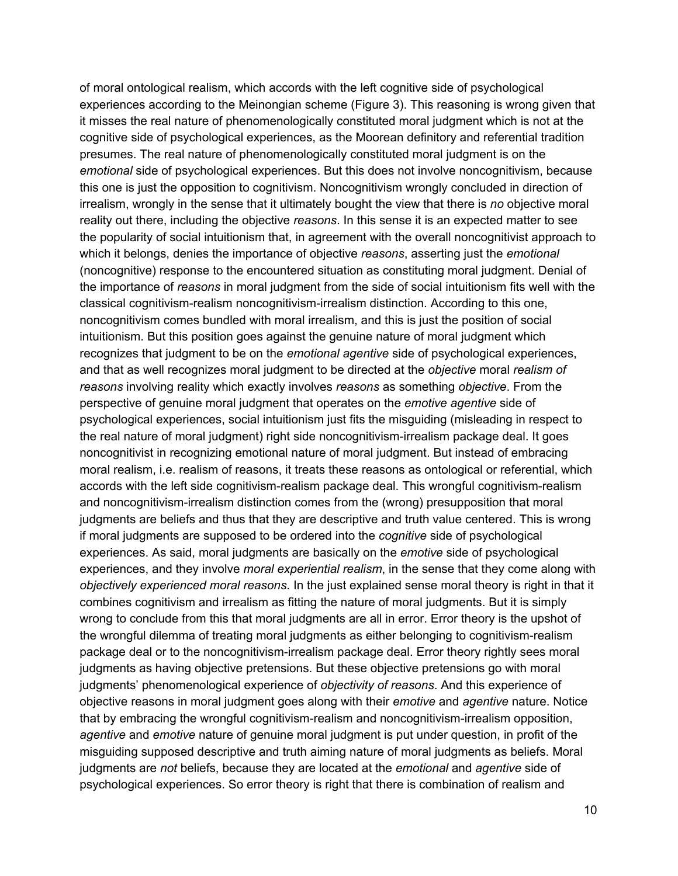of moral ontological realism, which accords with the left cognitive side of psychological experiences according to the Meinongian scheme (Figure 3). This reasoning is wrong given that it misses the real nature of phenomenologically constituted moral judgment which is not at the cognitive side of psychological experiences, as the Moorean definitory and referential tradition presumes. The real nature of phenomenologically constituted moral judgment is on the *emotional* side of psychological experiences. But this does not involve noncognitivism, because this one is just the opposition to cognitivism. Noncognitivism wrongly concluded in direction of irrealism, wrongly in the sense that it ultimately bought the view that there is *no* objective moral reality out there, including the objective *reasons*. In this sense it is an expected matter to see the popularity of social intuitionism that, in agreement with the overall noncognitivist approach to which it belongs, denies the importance of objective *reasons*, asserting just the *emotional* (noncognitive) response to the encountered situation as constituting moral judgment. Denial of the importance of *reasons* in moral judgment from the side of social intuitionism fits well with the classical cognitivism-realism noncognitivism-irrealism distinction. According to this one, noncognitivism comes bundled with moral irrealism, and this is just the position of social intuitionism. But this position goes against the genuine nature of moral judgment which recognizes that judgment to be on the *emotional agentive* side of psychological experiences, and that as well recognizes moral judgment to be directed at the *objective* moral *realism of reasons* involving reality which exactly involves *reasons* as something *objective*. From the perspective of genuine moral judgment that operates on the *emotive agentive* side of psychological experiences, social intuitionism just fits the misguiding (misleading in respect to the real nature of moral judgment) right side noncognitivism-irrealism package deal. It goes noncognitivist in recognizing emotional nature of moral judgment. But instead of embracing moral realism, i.e. realism of reasons, it treats these reasons as ontological or referential, which accords with the left side cognitivism-realism package deal. This wrongful cognitivism-realism and noncognitivism-irrealism distinction comes from the (wrong) presupposition that moral judgments are beliefs and thus that they are descriptive and truth value centered. This is wrong if moral judgments are supposed to be ordered into the *cognitive* side of psychological experiences. As said, moral judgments are basically on the *emotive* side of psychological experiences, and they involve *moral experiential realism*, in the sense that they come along with *objectively experienced moral reasons*. In the just explained sense moral theory is right in that it combines cognitivism and irrealism as fitting the nature of moral judgments. But it is simply wrong to conclude from this that moral judgments are all in error. Error theory is the upshot of the wrongful dilemma of treating moral judgments as either belonging to cognitivism-realism package deal or to the noncognitivism-irrealism package deal. Error theory rightly sees moral judgments as having objective pretensions. But these objective pretensions go with moral judgments' phenomenological experience of *objectivity of reasons*. And this experience of objective reasons in moral judgment goes along with their *emotive* and *agentive* nature. Notice that by embracing the wrongful cognitivism-realism and noncognitivism-irrealism opposition, *agentive* and *emotive* nature of genuine moral judgment is put under question, in profit of the misguiding supposed descriptive and truth aiming nature of moral judgments as beliefs. Moral judgments are *not* beliefs, because they are located at the *emotional* and *agentive* side of psychological experiences. So error theory is right that there is combination of realism and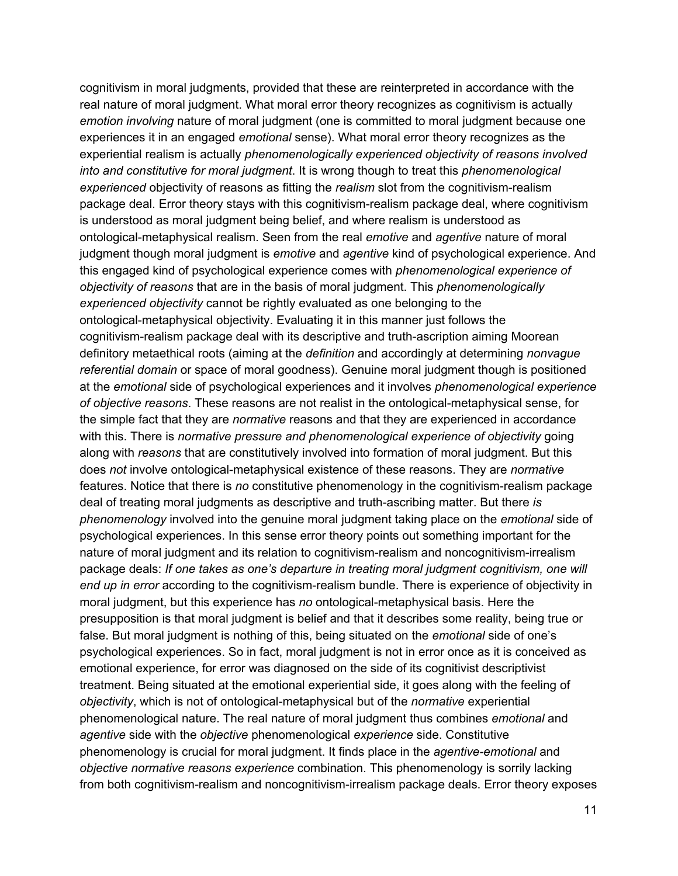cognitivism in moral judgments, provided that these are reinterpreted in accordance with the real nature of moral judgment. What moral error theory recognizes as cognitivism is actually *emotion involving* nature of moral judgment (one is committed to moral judgment because one experiences it in an engaged *emotional* sense). What moral error theory recognizes as the experiential realism is actually *phenomenologically experienced objectivity of reasons involved into and constitutive for moral judgment*. It is wrong though to treat this *phenomenological experienced* objectivity of reasons as fitting the *realism* slot from the cognitivism-realism package deal. Error theory stays with this cognitivism-realism package deal, where cognitivism is understood as moral judgment being belief, and where realism is understood as ontological-metaphysical realism. Seen from the real *emotive* and *agentive* nature of moral judgment though moral judgment is *emotive* and *agentive* kind of psychological experience. And this engaged kind of psychological experience comes with *phenomenological experience of objectivity of reasons* that are in the basis of moral judgment. This *phenomenologically experienced objectivity* cannot be rightly evaluated as one belonging to the ontological-metaphysical objectivity. Evaluating it in this manner just follows the cognitivism-realism package deal with its descriptive and truth-ascription aiming Moorean definitory metaethical roots (aiming at the *definition* and accordingly at determining *nonvague referential domain* or space of moral goodness). Genuine moral judgment though is positioned at the *emotional* side of psychological experiences and it involves *phenomenological experience of objective reasons*. These reasons are not realist in the ontologicalmetaphysical sense, for the simple fact that they are *normative* reasons and that they are experienced in accordance with this. There is *normative pressure and phenomenological experience of objectivity* going along with *reasons* that are constitutively involved into formation of moral judgment. But this does *not* involve ontological-metaphysical existence of these reasons. They are *normative* features. Notice that there is *no* constitutive phenomenology in the cognitivism-realism package deal of treating moral judgments as descriptive and truth-ascribing matter. But there *is phenomenology* involved into the genuine moral judgment taking place on the *emotional* side of psychological experiences. In this sense error theory points out something important for the nature of moral judgment and its relation to cognitivism-realism and noncognitivism-irrealism package deals: *If one takes as one's departure in treating moral judgment cognitivism, one will end up in error* according to the cognitivism-realism bundle. There is experience of objectivity in moral judgment, but this experience has *no* ontological-metaphysical basis. Here the presupposition is that moral judgment is belief and that it describes some reality, being true or false. But moral judgment is nothing of this, being situated on the *emotional* side of one's psychological experiences. So in fact, moral judgment is not in error once as it is conceived as emotional experience, for error was diagnosed on the side of its cognitivist descriptivist treatment. Being situated at the emotional experiential side, it goes along with the feeling of *objectivity*, which is not of ontologicalmetaphysical but of the *normative* experiential phenomenological nature. The real nature of moral judgment thus combines *emotional* and *agentive* side with the *objective* phenomenological *experience* side. Constitutive phenomenology is crucial for moral judgment. It finds place in the *agentive-emotional* and *objective normative reasons experience* combination. This phenomenology is sorrily lacking from both cognitivism-realism and noncognitivism-irrealism package deals. Error theory exposes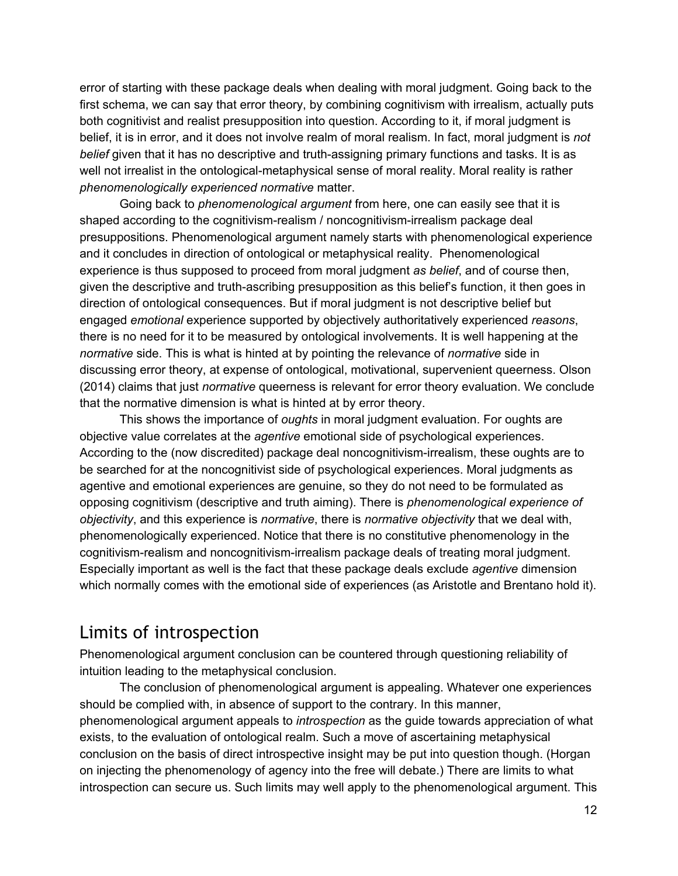error of starting with these package deals when dealing with moral judgment. Going back to the first schema, we can say that error theory, by combining cognitivism with irrealism, actually puts both cognitivist and realist presupposition into question. According to it, if moral judgment is belief, it is in error, and it does not involve realm of moral realism. In fact, moral judgment is *not belief* given that it has no descriptive and truth-assigning primary functions and tasks. It is as well not irrealist in the ontological-metaphysical sense of moral reality. Moral reality is rather *phenomenologically experienced normative* matter.

Going back to *phenomenological argument* from here, one can easily see that it is shaped according to the cognitivism-realism / noncognitivism-irrealism package deal presuppositions. Phenomenological argument namely starts with phenomenological experience and it concludes in direction of ontological or metaphysical reality. Phenomenological experience is thus supposed to proceed from moral judgment *as belief*, and of course then, given the descriptive and truth-ascribing presupposition as this belief's function, it then goes in direction of ontological consequences. But if moral judgment is not descriptive belief but engaged *emotional* experience supported by objectively authoritatively experienced *reasons*, there is no need for it to be measured by ontological involvements. It is well happening at the *normative* side. This is what is hinted at by pointing the relevance of *normative* side in discussing error theory, at expense of ontological, motivational, supervenient queerness. Olson (2014) claims that just *normative* queerness is relevant for error theory evaluation. We conclude that the normative dimension is what is hinted at by error theory.

This shows the importance of *oughts* in moral judgment evaluation. For oughts are objective value correlates at the *agentive* emotional side of psychological experiences. According to the (now discredited) package deal noncognitivism-irrealism, these oughts are to be searched for at the noncognitivist side of psychological experiences. Moral judgments as agentive and emotional experiences are genuine, so they do not need to be formulated as opposing cognitivism (descriptive and truth aiming). There is *phenomenological experience of objectivity*, and this experience is *normative*, there is *normative objectivity* that we deal with, phenomenologically experienced. Notice that there is no constitutive phenomenology in the cognitivism-realism and noncognitivism-irrealism package deals of treating moral judgment. Especially important as well is the fact that these package deals exclude *agentive* dimension which normally comes with the emotional side of experiences (as Aristotle and Brentano hold it).

#### Limits of introspection

Phenomenological argument conclusion can be countered through questioning reliability of intuition leading to the metaphysical conclusion.

The conclusion of phenomenological argument is appealing. Whatever one experiences should be complied with, in absence of support to the contrary. In this manner, phenomenological argument appeals to *introspection* as the guide towards appreciation of what exists, to the evaluation of ontological realm. Such a move of ascertaining metaphysical conclusion on the basis of direct introspective insight may be put into question though. (Horgan on injecting the phenomenology of agency into the free will debate.) There are limits to what introspection can secure us. Such limits may well apply to the phenomenological argument. This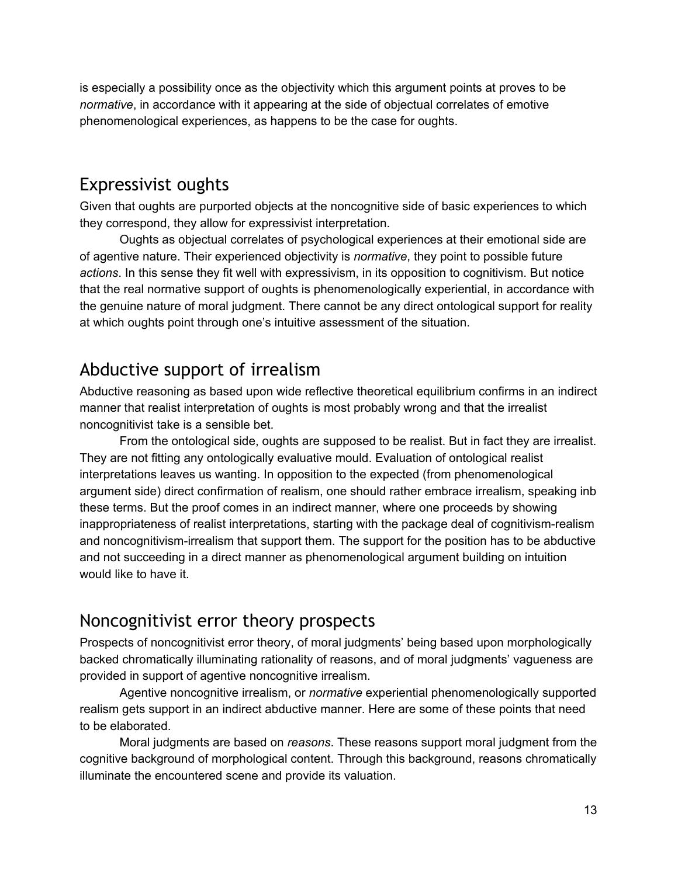is especially a possibility once as the objectivity which this argument points at proves to be *normative*, in accordance with it appearing at the side of objectual correlates of emotive phenomenological experiences, as happens to be the case for oughts.

#### Expressivist oughts

Given that oughts are purported objects at the noncognitive side of basic experiences to which they correspond, they allow for expressivist interpretation.

Oughts as objectual correlates of psychological experiences at their emotional side are of agentive nature. Their experienced objectivity is *normative*, they point to possible future *actions*. In this sense they fit well with expressivism, in its opposition to cognitivism. But notice that the real normative support of oughts is phenomenologically experiential, in accordance with the genuine nature of moral judgment. There cannot be any direct ontological support for reality at which oughts point through one's intuitive assessment of the situation.

# Abductive support of irrealism

Abductive reasoning as based upon wide reflective theoretical equilibrium confirms in an indirect manner that realist interpretation of oughts is most probably wrong and that the irrealist noncognitivist take is a sensible bet.

From the ontological side, oughts are supposed to be realist. But in fact they are irrealist. They are not fitting any ontologically evaluative mould. Evaluation of ontological realist interpretations leaves us wanting. In opposition to the expected (from phenomenological argument side) direct confirmation of realism, one should rather embrace irrealism, speaking inb these terms. But the proof comes in an indirect manner, where one proceeds by showing inappropriateness of realist interpretations, starting with the package deal of cognitivism-realism and noncognitivism-irrealism that support them. The support for the position has to be abductive and not succeeding in a direct manner as phenomenological argument building on intuition would like to have it.

# Noncognitivist error theory prospects

Prospects of noncognitivist error theory, of moral judgments' being based upon morphologically backed chromatically illuminating rationality of reasons, and of moral judgments' vagueness are provided in support of agentive noncognitive irrealism.

Agentive noncognitive irrealism, or *normative* experiential phenomenologically supported realism gets support in an indirect abductive manner. Here are some of these points that need to be elaborated.

Moral judgments are based on *reasons*. These reasons support moral judgment from the cognitive background of morphological content. Through this background, reasons chromatically illuminate the encountered scene and provide its valuation.